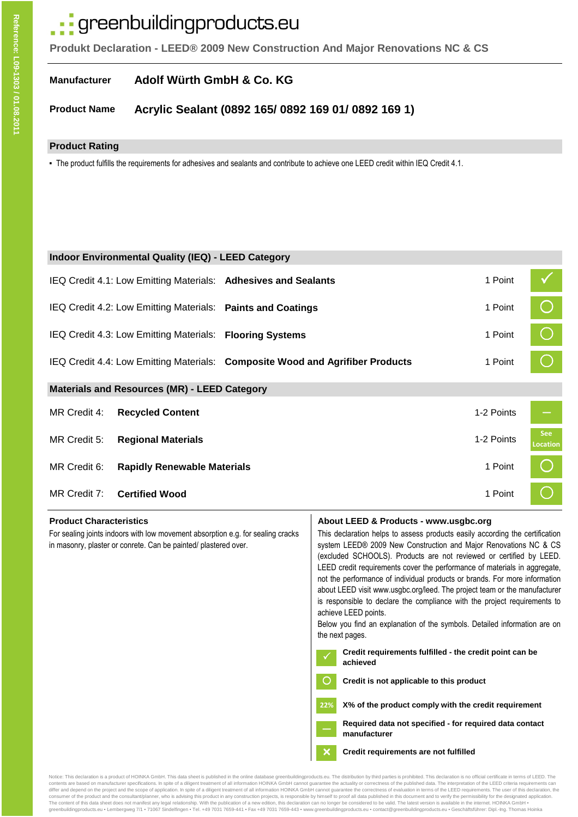# · greenbuildingproducts.eu

**Produkt Declaration - LEED® 2009 New Construction And Major Renovations NC & CS**

#### **Manufacturer Adolf Würth GmbH & Co. KG**

#### **Product Name Acrylic Sealant (0892 165/ 0892 169 01/ 0892 169 1)**

# **Product Rating**

▪ The product fulfills the requirements for adhesives and sealants and contribute to achieve one LEED credit within IEQ Credit 4.1.

| <b>Indoor Environmental Quality (IEQ) - LEED Category</b> |                                                             |                                                                               |            |                               |  |  |  |
|-----------------------------------------------------------|-------------------------------------------------------------|-------------------------------------------------------------------------------|------------|-------------------------------|--|--|--|
|                                                           |                                                             | IEQ Credit 4.1: Low Emitting Materials: Adhesives and Sealants                | 1 Point    |                               |  |  |  |
|                                                           | IEQ Credit 4.2: Low Emitting Materials: Paints and Coatings |                                                                               | 1 Point    |                               |  |  |  |
|                                                           | IEQ Credit 4.3: Low Emitting Materials: Flooring Systems    |                                                                               | 1 Point    |                               |  |  |  |
|                                                           |                                                             | IEQ Credit 4.4: Low Emitting Materials: Composite Wood and Agrifiber Products | 1 Point    |                               |  |  |  |
| <b>Materials and Resources (MR) - LEED Category</b>       |                                                             |                                                                               |            |                               |  |  |  |
| MR Credit 4:                                              | <b>Recycled Content</b>                                     |                                                                               | 1-2 Points |                               |  |  |  |
| MR Credit 5:                                              | <b>Regional Materials</b>                                   |                                                                               | 1-2 Points | <b>See</b><br><b>Location</b> |  |  |  |
| MR Credit 6:                                              | <b>Rapidly Renewable Materials</b>                          |                                                                               | 1 Point    |                               |  |  |  |
| MR Credit 7:                                              | <b>Certified Wood</b>                                       |                                                                               | 1 Point    |                               |  |  |  |
|                                                           |                                                             |                                                                               |            |                               |  |  |  |

For sealing joints indoors with low movement absorption e.g. for sealing cracks in masonry, plaster or conrete. Can be painted/ plastered over.

### **Product Characteristics <b>About LEED & Products - www.usgbc.org About LEED & Products - www.usgbc.org**

This declaration helps to assess products easily according the certification system LEED® 2009 New Construction and Major Renovations NC & CS (excluded SCHOOLS). Products are not reviewed or certified by LEED. LEED credit requirements cover the performance of materials in aggregate, not the performance of individual products or brands. For more information about LEED visit www.usgbc.org/leed. The project team or the manufacturer is responsible to declare the compliance with the project requirements to achieve LEED points.

Below you find an explanation of the symbols. Detailed information are on the next pages.

- **Credit requirements fulfilled the credit point can be achieved**
- **Credit is not applicable to this product** ∩

**22% X% of the product comply with the credit requirement**

**Required data not specified - for required data contact manufacturer**

# **Credit requirements are not fulfilled**

Notice: This declaration is a product of HOINKA GmbH. This data sheet is published in the online database greenbuildingproducts.eu. The distribution by third parties is prohibited. This declaration is no official certifica contents are based on manufacturer specifications. In spite of a diligent treatment of all information HOINKA GmbH cannot guarantee the actuality or correctness of the published data. The interpretation of the LEED criteri consumer of the product and the consultant/planner, who is advising this product in any construction projects, is responsible by himself to proof all data published in this document and to verify the permissibility for the The content of this data sheet does not manifest any legal relationship. With the publication of a new edition, this declaration can no longer be considered to be valid. The latest version is available in the internet. HOI

 $\overline{\mathsf{x}}$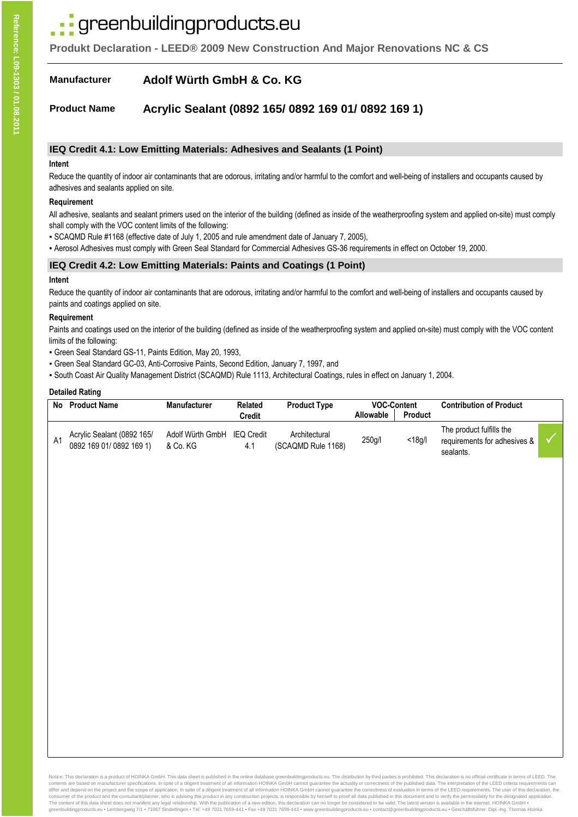# greenbuildingproducts.eu

**Produkt Declaration - LEED® 2009 New Construction And Major Renovations NC & CS**

#### **Manufacturer Adolf Würth GmbH & Co. KG**

#### **Product Name Acrylic Sealant (0892 165/ 0892 169 01/ 0892 169 1)**

### **IEQ Credit 4.1: Low Emitting Materials: Adhesives and Sealants (1 Point)**

#### **Intent**

Reduce the quantity of indoor air contaminants that are odorous, irritating and/or harmful to the comfort and well-being of installers and occupants caused by adhesives and sealants applied on site.

#### **Requirement**

All adhesive, sealants and sealant primers used on the interior of the building (defined as inside of the weatherproofing system and applied on-site) must comply shall comply with the VOC content limits of the following:

- SCAQMD Rule #1168 (effective date of July 1, 2005 and rule amendment date of January 7, 2005),
- Aerosol Adhesives must comply with Green Seal Standard for Commercial Adhesives GS-36 requirements in effect on October 19, 2000.

# **IEQ Credit 4.2: Low Emitting Materials: Paints and Coatings (1 Point)**

#### **Intent**

Reduce the quantity of indoor air contaminants that are odorous, irritating and/or harmful to the comfort and well-being of installers and occupants caused by paints and coatings applied on site.

#### **Requirement**

Paints and coatings used on the interior of the building (defined as inside of the weatherproofing system and applied on-site) must comply with the VOC content limits of the following:

- Green Seal Standard GS-11, Paints Edition, May 20, 1993,
- Green Seal Standard GC-03, Anti-Corrosive Paints, Second Edition, January 7, 1997, and

▪ South Coast Air Quality Management District (SCAQMD) Rule 1113, Architectural Coatings, rules in effect on January 1, 2004.

#### **Detailed Rating**

| No | <b>Product Name</b>                                   | <b>Manufacturer</b>                     | <b>Related</b><br>Credit | <b>Product Type</b>                 | <b>VOC-Content</b><br>Allowable | Product   | <b>Contribution of Product</b>                                        |  |
|----|-------------------------------------------------------|-----------------------------------------|--------------------------|-------------------------------------|---------------------------------|-----------|-----------------------------------------------------------------------|--|
| A1 | Acrylic Sealant (0892 165/<br>0892 169 01/0892 169 1) | Adolf Würth GmbH IEQ Credit<br>& Co. KG | 4.1                      | Architectural<br>(SCAQMD Rule 1168) | 250g/l                          | $<$ 18q/l | The product fulfills the<br>requirements for adhesives &<br>sealants. |  |

Notice: This declaration is a product of HOINKA GmbH. This data sheet is published in the online database greenbuildingproducts.eu. The distribution by third parties is prohibited. This declaration is no official certifica contents are based on manufacturer specifications. In spite of a diligent treatment of all information HOINKA GmbH cannot guarantee the actuality or correctness of the published data. The interpretation of the LEED criteri consumer of the product and the consultant/planner, who is advising this product in any construction projects, is responsible by himself to proof all data published in this document and to verify the permissibility for the The content of this data sheet does not manifest any legal relationship. With the publication of a new edition, this declaration can no longer be considered to be valid. The latest version is available in the internet. HOI greenbuildingproducts.eu ▪ Lembergweg 7/1 ▪ 71067 Sindelfingen ▪ Tel. +49 7031 7659-441 ▪ Fax +49 7031 7659-443 ▪ www.greenbuildingproducts.eu ▪ contact@greenbuildingproducts.eu ▪ Geschäftsführer: Dipl.-Ing. Thomas Hoinka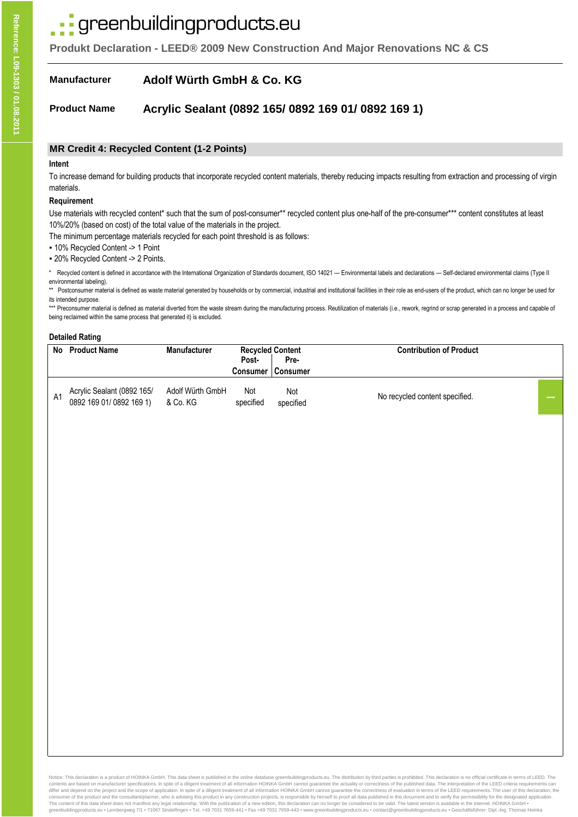# · greenbuildingproducts.eu

**Produkt Declaration - LEED® 2009 New Construction And Major Renovations NC & CS**

#### **Manufacturer Adolf Würth GmbH & Co. KG**

#### **Product Name Acrylic Sealant (0892 165/ 0892 169 01/ 0892 169 1)**

### **MR Credit 4: Recycled Content (1-2 Points)**

#### **Intent**

To increase demand for building products that incorporate recycled content materials, thereby reducing impacts resulting from extraction and processing of virgin materials.

#### **Requirement**

Use materials with recycled content\* such that the sum of post-consumer\*\* recycled content plus one-half of the pre-consumer\*\*\* content constitutes at least 10%/20% (based on cost) of the total value of the materials in the project.

The minimum percentage materials recycled for each point threshold is as follows:

▪ 10% Recycled Content -> 1 Point

▪ 20% Recycled Content -> 2 Points.

Recycled content is defined in accordance with the International Organization of Standards document, ISO 14021 — Environmental labels and declarations — Self-declared environmental claims (Type II) environmental labeling).

\*\* Postconsumer material is defined as waste material generated by households or by commercial, industrial and institutional facilities in their role as end-users of the product, which can no longer be used for its intended purpose.

\*\*\* Preconsumer material is defined as material diverted from the waste stream during the manufacturing process. Reutilization of materials (i.e., rework, regrind or scrap generated in a process and capable of being reclaimed within the same process that generated it) is excluded.

#### **Detailed Rating**

|    | No Product Name                                       | <b>Manufacturer</b>          | <b>Recycled Content</b><br>Post- | Pre-             | <b>Contribution of Product</b> |  |
|----|-------------------------------------------------------|------------------------------|----------------------------------|------------------|--------------------------------|--|
|    |                                                       |                              | Consumer                         | Consumer         |                                |  |
| A1 | Acrylic Sealant (0892 165/<br>0892 169 01/0892 169 1) | Adolf Würth GmbH<br>& Co. KG | Not<br>specified                 | Not<br>specified | No recycled content specified. |  |

Notice: This declaration is a product of HOINKA GmbH. This data sheet is published in the online database greenbuildingproducts.eu. The distribution by third parties is prohibited. This declaration is no official certifica contents are based on manufacturer specifications. In spite of a diligent treatment of all information HOINKA GmbH cannot guarantee the actuality or correctness of the published data. The interpretation of the LEED criteri consumer of the product and the consultant/planner, who is advising this product in any construction projects, is responsible by himself to proof all data published in this document and to verify the permissibility for the greenbuildingproducts.eu • Lembergweg 7/1 • 71067 Sindelfingen • Tel. +49 7031 7659-441 • Fax +49 7031 7659-443 · www.greenbuildingproducts.eu • contact@greenbuildingproducts.eu • Geschäftsführer: Dipl.-Ing. Thomas Hoinka